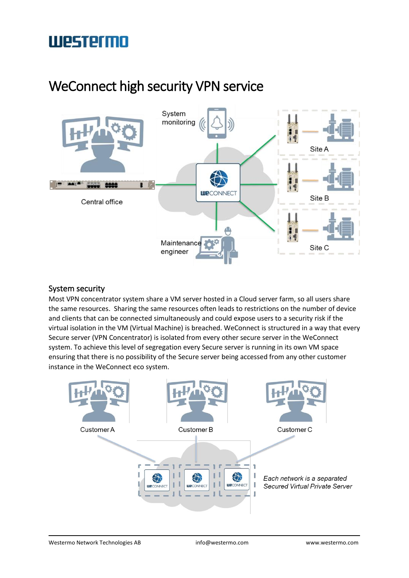## WeConnect high security VPN service



### System security

Most VPN concentrator system share a VM server hosted in a Cloud server farm, so all users share the same resources. Sharing the same resources often leads to restrictions on the number of device and clients that can be connected simultaneously and could expose users to a security risk if the virtual isolation in the VM (Virtual Machine) is breached. WeConnect is structured in a way that every Secure server (VPN Concentrator) is isolated from every other secure server in the WeConnect system. To achieve this level of segregation every Secure server is running in its own VM space ensuring that there is no possibility of the Secure server being accessed from any other customer instance in the WeConnect eco system.

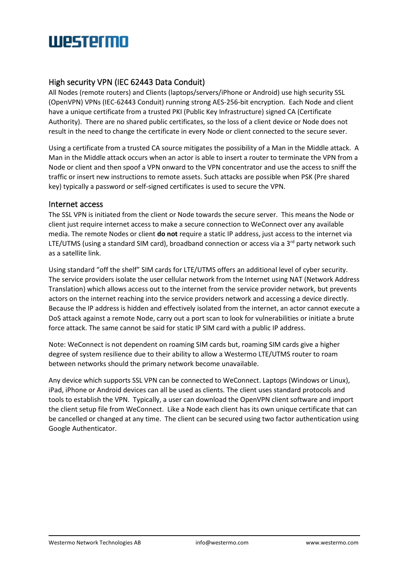# **UIPSTPTMN**

### High security VPN (IEC 62443 Data Conduit)

All Nodes (remote routers) and Clients (laptops/servers/iPhone or Android) use high security SSL (OpenVPN) VPNs (IEC-62443 Conduit) running strong AES-256-bit encryption. Each Node and client have a unique certificate from a trusted PKI (Public Key Infrastructure) signed CA (Certificate Authority). There are no shared public certificates, so the loss of a client device or Node does not result in the need to change the certificate in every Node or client connected to the secure sever.

Using a certificate from a trusted CA source mitigates the possibility of a Man in the Middle attack. A Man in the Middle attack occurs when an actor is able to insert a router to terminate the VPN from a Node or client and then spoof a VPN onward to the VPN concentrator and use the access to sniff the traffic or insert new instructions to remote assets. Such attacks are possible when PSK (Pre shared key) typically a password or self-signed certificates is used to secure the VPN.

#### Internet access

The SSL VPN is initiated from the client or Node towards the secure server. This means the Node or client just require internet access to make a secure connection to WeConnect over any available media. The remote Nodes or client **do not** require a static IP address, just access to the internet via LTE/UTMS (using a standard SIM card), broadband connection or access via a  $3<sup>rd</sup>$  party network such as a satellite link.

Using standard "off the shelf" SIM cards for LTE/UTMS offers an additional level of cyber security. The service providers isolate the user cellular network from the Internet using NAT (Network Address Translation) which allows access out to the internet from the service provider network, but prevents actors on the internet reaching into the service providers network and accessing a device directly. Because the IP address is hidden and effectively isolated from the internet, an actor cannot execute a DoS attack against a remote Node, carry out a port scan to look for vulnerabilities or initiate a brute force attack. The same cannot be said for static IP SIM card with a public IP address.

Note: WeConnect is not dependent on roaming SIM cards but, roaming SIM cards give a higher degree of system resilience due to their ability to allow a Westermo LTE/UTMS router to roam between networks should the primary network become unavailable.

Any device which supports SSL VPN can be connected to WeConnect. Laptops (Windows or Linux), iPad, iPhone or Android devices can all be used as clients. The client uses standard protocols and tools to establish the VPN. Typically, a user can download the OpenVPN client software and import the client setup file from WeConnect. Like a Node each client has its own unique certificate that can be cancelled or changed at any time. The client can be secured using two factor authentication using Google Authenticator.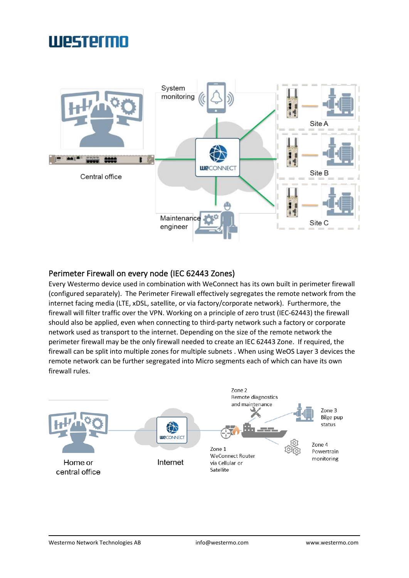

### Perimeter Firewall on every node (IEC 62443 Zones)

Every Westermo device used in combination with WeConnect has its own built in perimeter firewall (configured separately). The Perimeter Firewall effectively segregates the remote network from the internet facing media (LTE, xDSL, satellite, or via factory/corporate network). Furthermore, the firewall will filter traffic over the VPN. Working on a principle of zero trust (IEC-62443) the firewall should also be applied, even when connecting to third-party network such a factory or corporate network used as transport to the internet. Depending on the size of the remote network the perimeter firewall may be the only firewall needed to create an IEC 62443 Zone. If required, the firewall can be split into multiple zones for multiple subnets . When using WeOS Layer 3 devices the remote network can be further segregated into Micro segments each of which can have its own firewall rules.

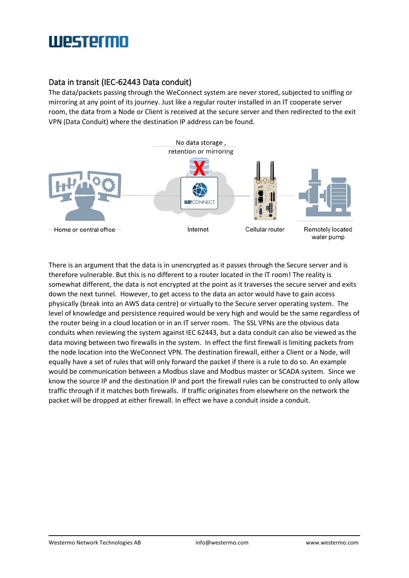### Data in transit (IEC-62443 Data conduit)

The data/packets passing through the WeConnect system are never stored, subjected to sniffing or mirroring at any point of its journey. Just like a regular router installed in an IT cooperate server room, the data from a Node or Client is received at the secure server and then redirected to the exit VPN (Data Conduit) where the destination IP address can be found.



There is an argument that the data is in unencrypted as it passes through the Secure server and is therefore vulnerable. But this is no different to a router located in the IT room! The reality is somewhat different, the data is not encrypted at the point as it traverses the secure server and exits down the next tunnel. However, to get access to the data an actor would have to gain access physically (break into an AWS data centre) or virtually to the Secure server operating system. The level of knowledge and persistence required would be very high and would be the same regardless of the router being in a cloud location or in an IT server room. The SSL VPNs are the obvious data conduits when reviewing the system against IEC 62443, but a data conduit can also be viewed as the data moving between two firewalls in the system. In effect the first firewall is limiting packets from the node location into the WeConnect VPN. The destination firewall, either a Client or a Node, will equally have a set of rules that will only forward the packet if there is a rule to do so. An example would be communication between a Modbus slave and Modbus master or SCADA system. Since we know the source IP and the destination IP and port the firewall rules can be constructed to only allow traffic through if it matches both firewalls. If traffic originates from elsewhere on the network the packet will be dropped at either firewall. In effect we have a conduit inside a conduit.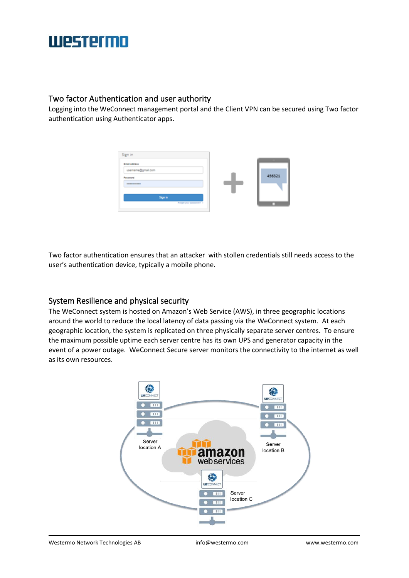### Two factor Authentication and user authority

Logging into the WeConnect management portal and the Client VPN can be secured using Two factor authentication using Authenticator apps.



Two factor authentication ensures that an attacker with stollen credentials still needs access to the user's authentication device, typically a mobile phone.

### System Resilience and physical security

The WeConnect system is hosted on Amazon's Web Service (AWS), in three geographic locations around the world to reduce the local latency of data passing via the WeConnect system. At each geographic location, the system is replicated on three physically separate server centres. To ensure the maximum possible uptime each server centre has its own UPS and generator capacity in the event of a power outage. WeConnect Secure server monitors the connectivity to the internet as well as its own resources.

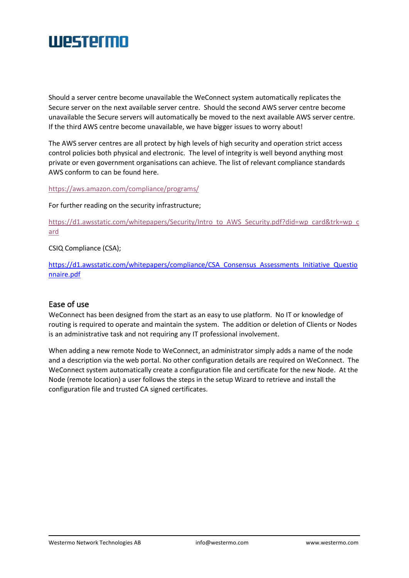

Should a server centre become unavailable the WeConnect system automatically replicates the Secure server on the next available server centre. Should the second AWS server centre become unavailable the Secure servers will automatically be moved to the next available AWS server centre. If the third AWS centre become unavailable, we have bigger issues to worry about!

The AWS server centres are all protect by high levels of high security and operation strict access control policies both physical and electronic. The level of integrity is well beyond anything most private or even government organisations can achieve. The list of relevant compliance standards AWS conform to can be found here.

<https://aws.amazon.com/compliance/programs/>

For further reading on the security infrastructure;

[https://d1.awsstatic.com/whitepapers/Security/Intro\\_to\\_AWS\\_Security.pdf?did=wp\\_card&trk=wp\\_c](https://d1.awsstatic.com/whitepapers/Security/Intro_to_AWS_Security.pdf?did=wp_card&trk=wp_card) [ard](https://d1.awsstatic.com/whitepapers/Security/Intro_to_AWS_Security.pdf?did=wp_card&trk=wp_card)

CSIQ Compliance (CSA);

[https://d1.awsstatic.com/whitepapers/compliance/CSA\\_Consensus\\_Assessments\\_Initiative\\_Questio](https://d1.awsstatic.com/whitepapers/compliance/CSA_Consensus_Assessments_Initiative_Questionnaire.pdf) [nnaire.pdf](https://d1.awsstatic.com/whitepapers/compliance/CSA_Consensus_Assessments_Initiative_Questionnaire.pdf)

#### Ease of use

WeConnect has been designed from the start as an easy to use platform. No IT or knowledge of routing is required to operate and maintain the system. The addition or deletion of Clients or Nodes is an administrative task and not requiring any IT professional involvement.

When adding a new remote Node to WeConnect, an administrator simply adds a name of the node and a description via the web portal. No other configuration details are required on WeConnect. The WeConnect system automatically create a configuration file and certificate for the new Node. At the Node (remote location) a user follows the steps in the setup Wizard to retrieve and install the configuration file and trusted CA signed certificates.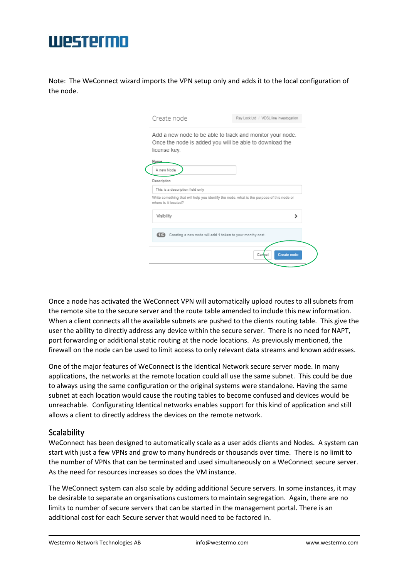## **TIPSTPTMN**

Note: The WeConnect wizard imports the VPN setup only and adds it to the local configuration of the node.

| Ray Lock Ltd / VDSL line investogation                                                                               |
|----------------------------------------------------------------------------------------------------------------------|
| Add a new node to be able to track and monitor your node.<br>Once the node is added you will be able to download the |
|                                                                                                                      |
|                                                                                                                      |
|                                                                                                                      |
| Write something that will help you identify the node, what is the purpose of this node or                            |
| ١,                                                                                                                   |
| Creating a new node will add 1 token to your monthy cost.                                                            |
| <b>Create node</b><br>Cancel                                                                                         |
|                                                                                                                      |

Once a node has activated the WeConnect VPN will automatically upload routes to all subnets from the remote site to the secure server and the route table amended to include this new information. When a client connects all the available subnets are pushed to the clients routing table. This give the user the ability to directly address any device within the secure server. There is no need for NAPT, port forwarding or additional static routing at the node locations. As previously mentioned, the firewall on the node can be used to limit access to only relevant data streams and known addresses.

One of the major features of WeConnect is the Identical Network secure server mode. In many applications, the networks at the remote location could all use the same subnet. This could be due to always using the same configuration or the original systems were standalone. Having the same subnet at each location would cause the routing tables to become confused and devices would be unreachable. Configurating Identical networks enables support for this kind of application and still allows a client to directly address the devices on the remote network.

### **Scalability**

WeConnect has been designed to automatically scale as a user adds clients and Nodes. A system can start with just a few VPNs and grow to many hundreds or thousands over time. There is no limit to the number of VPNs that can be terminated and used simultaneously on a WeConnect secure server. As the need for resources increases so does the VM instance.

The WeConnect system can also scale by adding additional Secure servers. In some instances, it may be desirable to separate an organisations customers to maintain segregation. Again, there are no limits to number of secure servers that can be started in the management portal. There is an additional cost for each Secure server that would need to be factored in.

Westermo Network Technologies AB [info@westermo.com](mailto:info@westermo.com) [www.westermo.com](http://www.westermo.com/)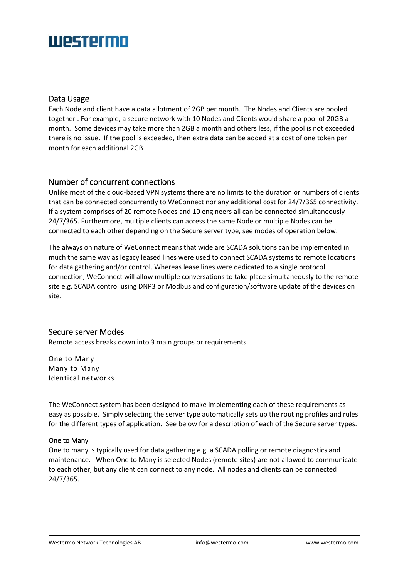# **TIPSTPTMN**

### Data Usage

Each Node and client have a data allotment of 2GB per month. The Nodes and Clients are pooled together . For example, a secure network with 10 Nodes and Clients would share a pool of 20GB a month. Some devices may take more than 2GB a month and others less, if the pool is not exceeded there is no issue. If the pool is exceeded, then extra data can be added at a cost of one token per month for each additional 2GB.

### Number of concurrent connections

Unlike most of the cloud-based VPN systems there are no limits to the duration or numbers of clients that can be connected concurrently to WeConnect nor any additional cost for 24/7/365 connectivity. If a system comprises of 20 remote Nodes and 10 engineers all can be connected simultaneously 24/7/365. Furthermore, multiple clients can access the same Node or multiple Nodes can be connected to each other depending on the Secure server type, see modes of operation below.

The always on nature of WeConnect means that wide are SCADA solutions can be implemented in much the same way as legacy leased lines were used to connect SCADA systems to remote locations for data gathering and/or control. Whereas lease lines were dedicated to a single protocol connection, WeConnect will allow multiple conversations to take place simultaneously to the remote site e.g. SCADA control using DNP3 or Modbus and configuration/software update of the devices on site.

### Secure server Modes

Remote access breaks down into 3 main groups or requirements.

One to Many Many to Many Identical networks

The WeConnect system has been designed to make implementing each of these requirements as easy as possible. Simply selecting the server type automatically sets up the routing profiles and rules for the different types of application. See below for a description of each of the Secure server types.

#### One to Many

One to many is typically used for data gathering e.g. a SCADA polling or remote diagnostics and maintenance. When One to Many is selected Nodes (remote sites) are not allowed to communicate to each other, but any client can connect to any node. All nodes and clients can be connected 24/7/365.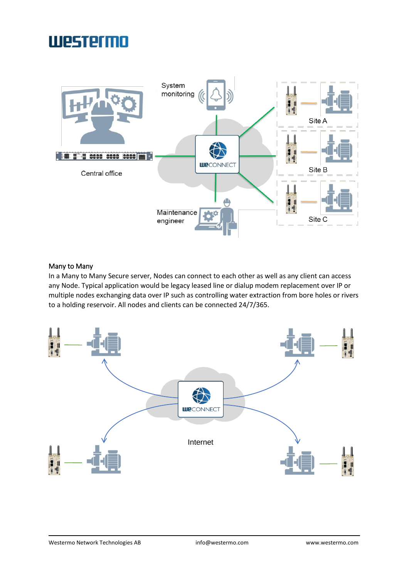

#### Many to Many

In a Many to Many Secure server, Nodes can connect to each other as well as any client can access any Node. Typical application would be legacy leased line or dialup modem replacement over IP or multiple nodes exchanging data over IP such as controlling water extraction from bore holes or rivers to a holding reservoir. All nodes and clients can be connected 24/7/365.

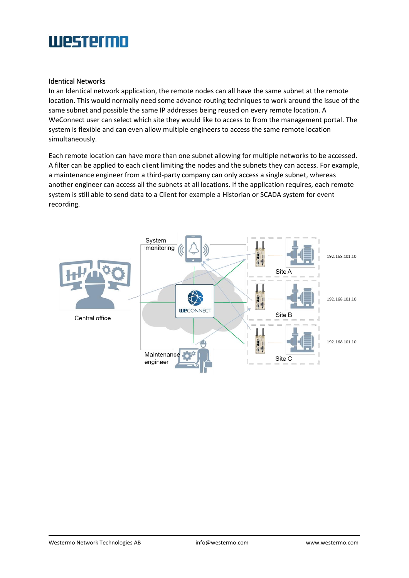#### Identical Networks

In an Identical network application, the remote nodes can all have the same subnet at the remote location. This would normally need some advance routing techniques to work around the issue of the same subnet and possible the same IP addresses being reused on every remote location. A WeConnect user can select which site they would like to access to from the management portal. The system is flexible and can even allow multiple engineers to access the same remote location simultaneously.

Each remote location can have more than one subnet allowing for multiple networks to be accessed. A filter can be applied to each client limiting the nodes and the subnets they can access. For example, a maintenance engineer from a third-party company can only access a single subnet, whereas another engineer can access all the subnets at all locations. If the application requires, each remote system is still able to send data to a Client for example a Historian or SCADA system for event recording.